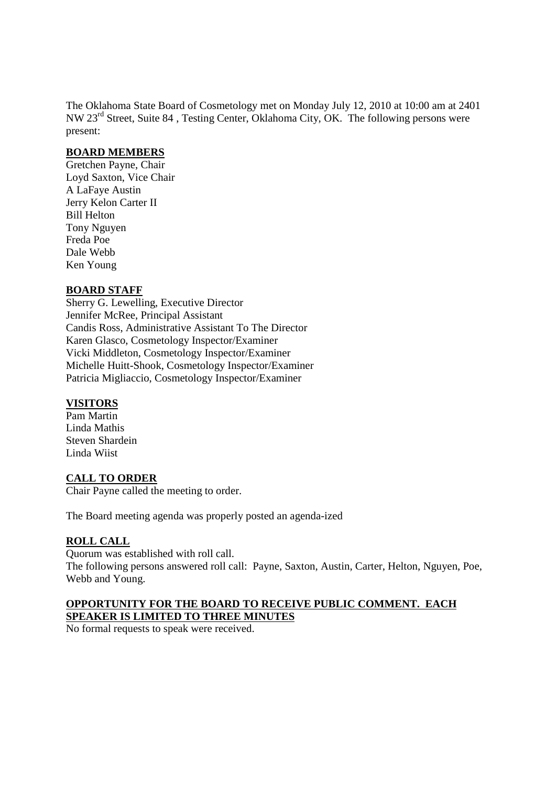The Oklahoma State Board of Cosmetology met on Monday July 12, 2010 at 10:00 am at 2401 NW 23rd Street, Suite 84 , Testing Center, Oklahoma City, OK. The following persons were present:

#### **BOARD MEMBERS**

Gretchen Payne, Chair Loyd Saxton, Vice Chair A LaFaye Austin Jerry Kelon Carter II Bill Helton Tony Nguyen Freda Poe Dale Webb Ken Young

### **BOARD STAFF**

Sherry G. Lewelling, Executive Director Jennifer McRee, Principal Assistant Candis Ross, Administrative Assistant To The Director Karen Glasco, Cosmetology Inspector/Examiner Vicki Middleton, Cosmetology Inspector/Examiner Michelle Huitt-Shook, Cosmetology Inspector/Examiner Patricia Migliaccio, Cosmetology Inspector/Examiner

### **VISITORS**

Pam Martin Linda Mathis Steven Shardein Linda Wiist

### **CALL TO ORDER**

Chair Payne called the meeting to order.

The Board meeting agenda was properly posted an agenda-ized

### **ROLL CALL**

Quorum was established with roll call. The following persons answered roll call: Payne, Saxton, Austin, Carter, Helton, Nguyen, Poe, Webb and Young.

### **OPPORTUNITY FOR THE BOARD TO RECEIVE PUBLIC COMMENT. EACH SPEAKER IS LIMITED TO THREE MINUTES**

No formal requests to speak were received.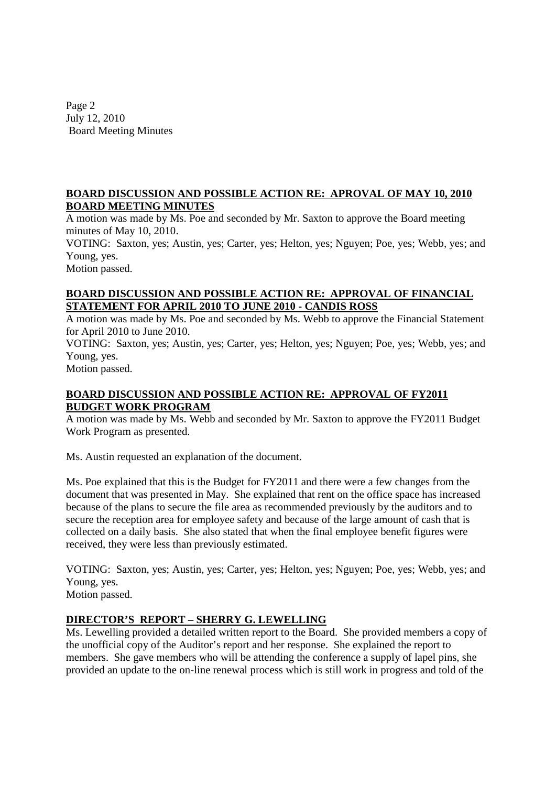Page 2 July 12, 2010 Board Meeting Minutes

### **BOARD DISCUSSION AND POSSIBLE ACTION RE: APROVAL OF MAY 10, 2010 BOARD MEETING MINUTES**

A motion was made by Ms. Poe and seconded by Mr. Saxton to approve the Board meeting minutes of May 10, 2010.

VOTING: Saxton, yes; Austin, yes; Carter, yes; Helton, yes; Nguyen; Poe, yes; Webb, yes; and Young, yes.

Motion passed.

### **BOARD DISCUSSION AND POSSIBLE ACTION RE: APPROVAL OF FINANCIAL STATEMENT FOR APRIL 2010 TO JUNE 2010 - CANDIS ROSS**

A motion was made by Ms. Poe and seconded by Ms. Webb to approve the Financial Statement for April 2010 to June 2010.

VOTING: Saxton, yes; Austin, yes; Carter, yes; Helton, yes; Nguyen; Poe, yes; Webb, yes; and Young, yes.

Motion passed.

# **BOARD DISCUSSION AND POSSIBLE ACTION RE: APPROVAL OF FY2011 BUDGET WORK PROGRAM**

A motion was made by Ms. Webb and seconded by Mr. Saxton to approve the FY2011 Budget Work Program as presented.

Ms. Austin requested an explanation of the document.

Ms. Poe explained that this is the Budget for FY2011 and there were a few changes from the document that was presented in May. She explained that rent on the office space has increased because of the plans to secure the file area as recommended previously by the auditors and to secure the reception area for employee safety and because of the large amount of cash that is collected on a daily basis. She also stated that when the final employee benefit figures were received, they were less than previously estimated.

VOTING: Saxton, yes; Austin, yes; Carter, yes; Helton, yes; Nguyen; Poe, yes; Webb, yes; and Young, yes.

Motion passed.

# **DIRECTOR'S REPORT – SHERRY G. LEWELLING**

Ms. Lewelling provided a detailed written report to the Board. She provided members a copy of the unofficial copy of the Auditor's report and her response. She explained the report to members. She gave members who will be attending the conference a supply of lapel pins, she provided an update to the on-line renewal process which is still work in progress and told of the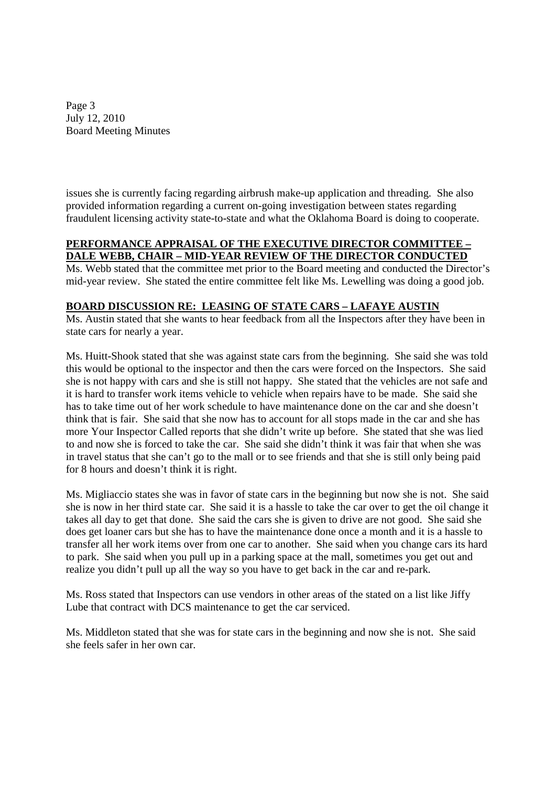Page 3 July 12, 2010 Board Meeting Minutes

issues she is currently facing regarding airbrush make-up application and threading. She also provided information regarding a current on-going investigation between states regarding fraudulent licensing activity state-to-state and what the Oklahoma Board is doing to cooperate.

### **PERFORMANCE APPRAISAL OF THE EXECUTIVE DIRECTOR COMMITTEE – DALE WEBB, CHAIR – MID-YEAR REVIEW OF THE DIRECTOR CONDUCTED**

Ms. Webb stated that the committee met prior to the Board meeting and conducted the Director's mid-year review. She stated the entire committee felt like Ms. Lewelling was doing a good job.

# **BOARD DISCUSSION RE: LEASING OF STATE CARS – LAFAYE AUSTIN**

Ms. Austin stated that she wants to hear feedback from all the Inspectors after they have been in state cars for nearly a year.

Ms. Huitt-Shook stated that she was against state cars from the beginning. She said she was told this would be optional to the inspector and then the cars were forced on the Inspectors. She said she is not happy with cars and she is still not happy. She stated that the vehicles are not safe and it is hard to transfer work items vehicle to vehicle when repairs have to be made. She said she has to take time out of her work schedule to have maintenance done on the car and she doesn't think that is fair. She said that she now has to account for all stops made in the car and she has more Your Inspector Called reports that she didn't write up before. She stated that she was lied to and now she is forced to take the car. She said she didn't think it was fair that when she was in travel status that she can't go to the mall or to see friends and that she is still only being paid for 8 hours and doesn't think it is right.

Ms. Migliaccio states she was in favor of state cars in the beginning but now she is not. She said she is now in her third state car. She said it is a hassle to take the car over to get the oil change it takes all day to get that done. She said the cars she is given to drive are not good. She said she does get loaner cars but she has to have the maintenance done once a month and it is a hassle to transfer all her work items over from one car to another. She said when you change cars its hard to park. She said when you pull up in a parking space at the mall, sometimes you get out and realize you didn't pull up all the way so you have to get back in the car and re-park.

Ms. Ross stated that Inspectors can use vendors in other areas of the stated on a list like Jiffy Lube that contract with DCS maintenance to get the car serviced.

Ms. Middleton stated that she was for state cars in the beginning and now she is not. She said she feels safer in her own car.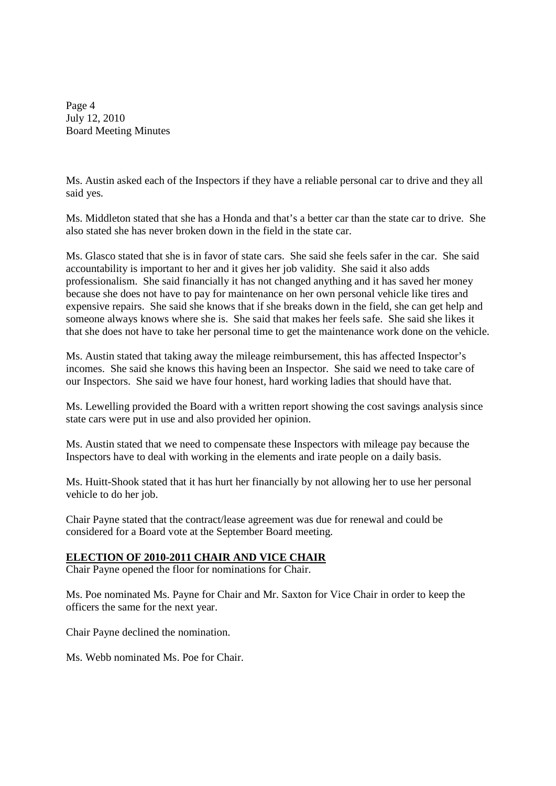Page 4 July 12, 2010 Board Meeting Minutes

Ms. Austin asked each of the Inspectors if they have a reliable personal car to drive and they all said yes.

Ms. Middleton stated that she has a Honda and that's a better car than the state car to drive. She also stated she has never broken down in the field in the state car.

Ms. Glasco stated that she is in favor of state cars. She said she feels safer in the car. She said accountability is important to her and it gives her job validity. She said it also adds professionalism. She said financially it has not changed anything and it has saved her money because she does not have to pay for maintenance on her own personal vehicle like tires and expensive repairs. She said she knows that if she breaks down in the field, she can get help and someone always knows where she is. She said that makes her feels safe. She said she likes it that she does not have to take her personal time to get the maintenance work done on the vehicle.

Ms. Austin stated that taking away the mileage reimbursement, this has affected Inspector's incomes. She said she knows this having been an Inspector. She said we need to take care of our Inspectors. She said we have four honest, hard working ladies that should have that.

Ms. Lewelling provided the Board with a written report showing the cost savings analysis since state cars were put in use and also provided her opinion.

Ms. Austin stated that we need to compensate these Inspectors with mileage pay because the Inspectors have to deal with working in the elements and irate people on a daily basis.

Ms. Huitt-Shook stated that it has hurt her financially by not allowing her to use her personal vehicle to do her job.

Chair Payne stated that the contract/lease agreement was due for renewal and could be considered for a Board vote at the September Board meeting.

### **ELECTION OF 2010-2011 CHAIR AND VICE CHAIR**

Chair Payne opened the floor for nominations for Chair.

Ms. Poe nominated Ms. Payne for Chair and Mr. Saxton for Vice Chair in order to keep the officers the same for the next year.

Chair Payne declined the nomination.

Ms. Webb nominated Ms. Poe for Chair.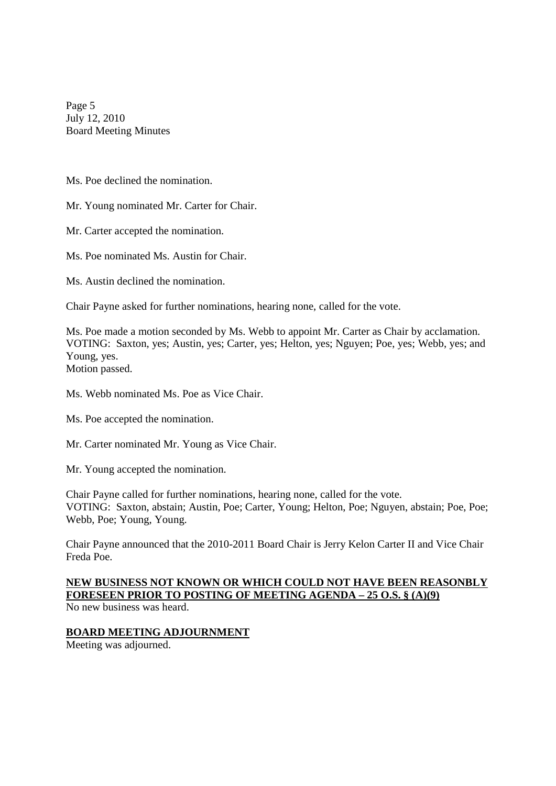Page 5 July 12, 2010 Board Meeting Minutes

Ms. Poe declined the nomination.

Mr. Young nominated Mr. Carter for Chair.

Mr. Carter accepted the nomination.

Ms. Poe nominated Ms. Austin for Chair.

Ms. Austin declined the nomination.

Chair Payne asked for further nominations, hearing none, called for the vote.

Ms. Poe made a motion seconded by Ms. Webb to appoint Mr. Carter as Chair by acclamation. VOTING: Saxton, yes; Austin, yes; Carter, yes; Helton, yes; Nguyen; Poe, yes; Webb, yes; and Young, yes.

Motion passed.

Ms. Webb nominated Ms. Poe as Vice Chair.

Ms. Poe accepted the nomination.

Mr. Carter nominated Mr. Young as Vice Chair.

Mr. Young accepted the nomination.

Chair Payne called for further nominations, hearing none, called for the vote. VOTING: Saxton, abstain; Austin, Poe; Carter, Young; Helton, Poe; Nguyen, abstain; Poe, Poe; Webb, Poe; Young, Young.

Chair Payne announced that the 2010-2011 Board Chair is Jerry Kelon Carter II and Vice Chair Freda Poe.

#### **NEW BUSINESS NOT KNOWN OR WHICH COULD NOT HAVE BEEN REASONBLY FORESEEN PRIOR TO POSTING OF MEETING AGENDA – 25 O.S. § (A)(9)** No new business was heard.

### **BOARD MEETING ADJOURNMENT**

Meeting was adjourned.